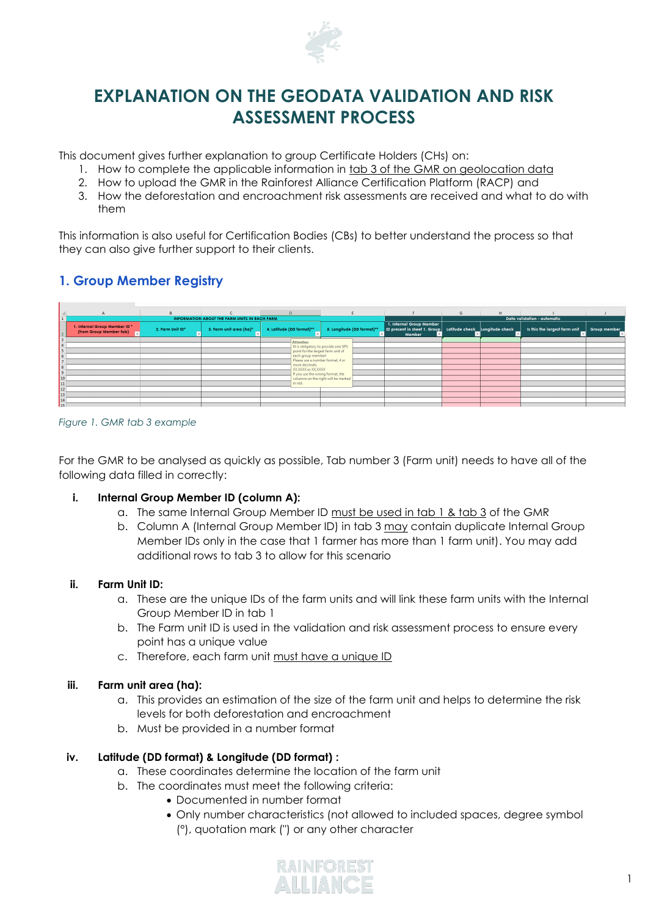

# **EXPLANATION ON THE GEODATA VALIDATION AND RISK ASSESSMENT PROCESS**

This document gives further explanation to group Certificate Holders (CHs) on:

- 1. How to complete the applicable information in tab 3 of the GMR on geolocation data
- 2. How to upload the GMR in the Rainforest Alliance Certification Platform (RACP) and
- 3. How the deforestation and encroachment risk assessments are received and what to do with them

This information is also useful for Certification Bodies (CBs) to better understand the process so that they can also give further support to their clients.

# **1. Group Member Registry**

| $\mathsf{A}$                                             | B.               |                                               | $\mathbf{D}$                                       |                                     |                                                                                                   | $\mathbf{G}$                | H |                               |              |  |
|----------------------------------------------------------|------------------|-----------------------------------------------|----------------------------------------------------|-------------------------------------|---------------------------------------------------------------------------------------------------|-----------------------------|---|-------------------------------|--------------|--|
|                                                          |                  |                                               |                                                    |                                     |                                                                                                   |                             |   |                               |              |  |
| $\mathbf{1}$                                             |                  | INFORMATION ABOUT THE FARM UNITS IN EACH FARM |                                                    |                                     |                                                                                                   | Data validation - automatic |   |                               |              |  |
| 1. Internal Group Member ID *<br>(from Group Member tab) | 2. Farm Unit ID* | 3. Farm unit area (ha)*                       | 4. Latitude (DD format)**                          | 5. Longitude (DD format)**          | 1. Internal Group Member<br>ID present in sheet 1. Group Latitude check Longitude check<br>Member |                             |   | Is this the largest farm unit | Group member |  |
|                                                          |                  |                                               |                                                    |                                     |                                                                                                   |                             |   |                               |              |  |
|                                                          |                  |                                               | <b>Attention</b>                                   |                                     |                                                                                                   |                             |   |                               |              |  |
|                                                          |                  |                                               |                                                    | It is obligatory to provide one GPS |                                                                                                   |                             |   |                               |              |  |
|                                                          |                  |                                               | point for the largest farm unit of                 |                                     |                                                                                                   |                             |   |                               |              |  |
| <b>b</b>                                                 |                  |                                               | each group member!                                 |                                     |                                                                                                   |                             |   |                               |              |  |
|                                                          |                  |                                               | Please use a number format, 4 or<br>more decimals. |                                     |                                                                                                   |                             |   |                               |              |  |
|                                                          |                  |                                               | XX.XXXX or XX.XXXX                                 |                                     |                                                                                                   |                             |   |                               |              |  |
| 9                                                        |                  |                                               |                                                    | If you use the wrong format, the    |                                                                                                   |                             |   |                               |              |  |
| 10                                                       |                  |                                               |                                                    | columns on the right will be marked |                                                                                                   |                             |   |                               |              |  |
| 11                                                       |                  |                                               | in red.                                            |                                     |                                                                                                   |                             |   |                               |              |  |
| <b>12</b>                                                |                  |                                               |                                                    |                                     |                                                                                                   |                             |   |                               |              |  |
| 13                                                       |                  |                                               |                                                    |                                     |                                                                                                   |                             |   |                               |              |  |
| 14                                                       |                  |                                               |                                                    |                                     |                                                                                                   |                             |   |                               |              |  |
| <b>I</b> a c                                             |                  |                                               |                                                    |                                     |                                                                                                   |                             |   |                               |              |  |

#### *Figure 1. GMR tab 3 example*

For the GMR to be analysed as quickly as possible, Tab number 3 (Farm unit) needs to have all of the following data filled in correctly:

### **i. Internal Group Member ID (column A):**

- a. The same Internal Group Member ID must be used in tab 1 & tab 3 of the GMR
- b. Column A (Internal Group Member ID) in tab 3 may contain duplicate Internal Group Member IDs only in the case that 1 farmer has more than 1 farm unit). You may add additional rows to tab 3 to allow for this scenario

#### **ii. Farm Unit ID:**

- a. These are the unique IDs of the farm units and will link these farm units with the Internal Group Member ID in tab 1
- b. The Farm unit ID is used in the validation and risk assessment process to ensure every point has a unique value
- c. Therefore, each farm unit must have a unique ID

### **iii. Farm unit area (ha):**

- a. This provides an estimation of the size of the farm unit and helps to determine the risk levels for both deforestation and encroachment
- b. Must be provided in a number format

### **iv. Latitude (DD format) & Longitude (DD format) :**

- a. These coordinates determine the location of the farm unit
- b. The coordinates must meet the following criteria:
	- Documented in number format
	- Only number characteristics (not allowed to included spaces, degree symbol (°), quotation mark (") or any other character

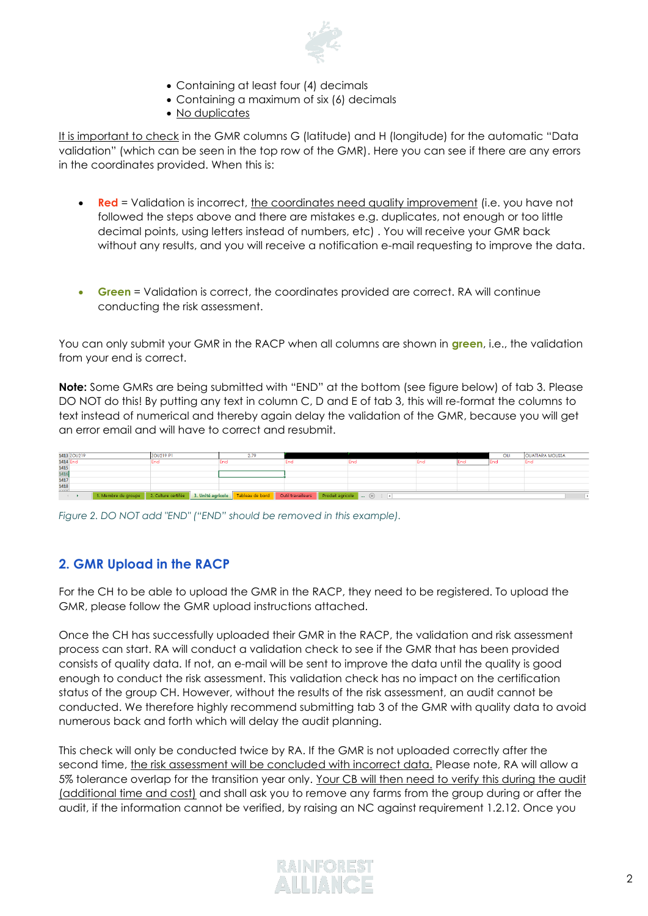

- Containing at least four (4) decimals
- Containing a maximum of six (6) decimals
- No duplicates

It is important to check in the GMR columns G (latitude) and H (longitude) for the automatic "Data validation" (which can be seen in the top row of the GMR). Here you can see if there are any errors in the coordinates provided. When this is:

- **Red** = Validation is incorrect, the coordinates need quality improvement (i.e. you have not followed the steps above and there are mistakes e.g. duplicates, not enough or too little decimal points, using letters instead of numbers, etc) . You will receive your GMR back without any results, and you will receive a notification e-mail requesting to improve the data.
- **Green** = Validation is correct, the coordinates provided are correct. RA will continue conducting the risk assessment.

You can only submit your GMR in the RACP when all columns are shown in **green**, i.e., the validation from your end is correct.

**Note:** Some GMRs are being submitted with "END" at the bottom (see figure below) of tab 3. Please DO NOT do this! By putting any text in column C, D and E of tab 3, this will re-format the columns to text instead of numerical and thereby again delay the validation of the GMR, because you will get an error email and will have to correct and resubmit.



*Figure 2. DO NOT add "END" ("END" should be removed in this example).*

### **2. GMR Upload in the RACP**

For the CH to be able to upload the GMR in the RACP, they need to be registered. To upload the GMR, please follow the GMR upload instructions attached.

Once the CH has successfully uploaded their GMR in the RACP, the validation and risk assessment process can start. RA will conduct a validation check to see if the GMR that has been provided consists of quality data. If not, an e-mail will be sent to improve the data until the quality is good enough to conduct the risk assessment. This validation check has no impact on the certification status of the group CH. However, without the results of the risk assessment, an audit cannot be conducted. We therefore highly recommend submitting tab 3 of the GMR with quality data to avoid numerous back and forth which will delay the audit planning.

This check will only be conducted twice by RA. If the GMR is not uploaded correctly after the second time, the risk assessment will be concluded with incorrect data. Please note, RA will allow a 5% tolerance overlap for the transition year only. Your CB will then need to verify this during the audit (additional time and cost) and shall ask you to remove any farms from the group during or after the audit, if the information cannot be verified, by raising an NC against requirement 1.2.12. Once you

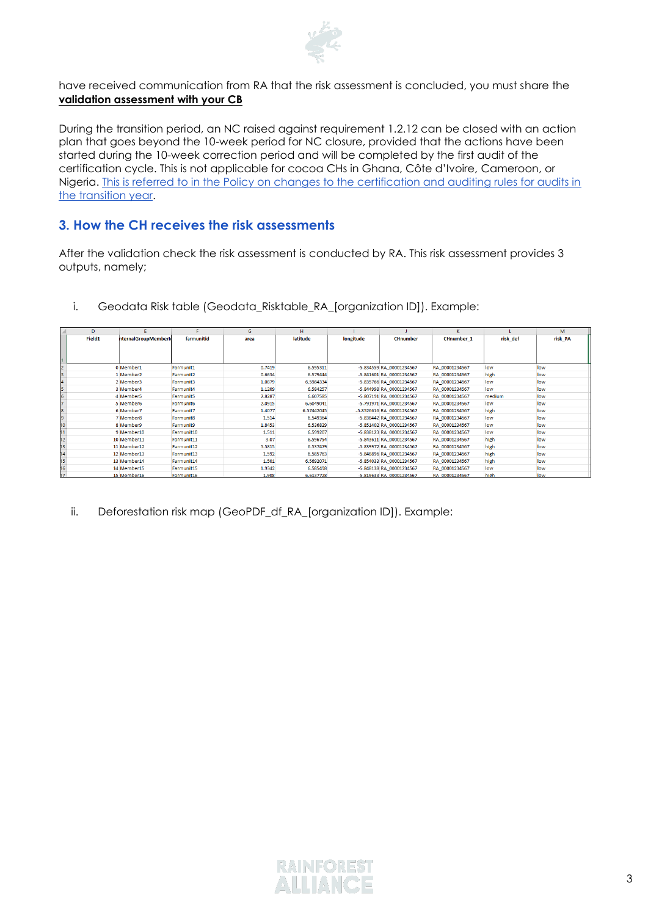

have received communication from RA that the risk assessment is concluded, you must share the **validation assessment with your CB**

During the transition period, an NC raised against requirement 1.2.12 can be closed with an action plan that goes beyond the 10-week period for NC closure, provided that the actions have been started during the 10-week correction period and will be completed by the first audit of the certification cycle. This is not applicable for cocoa CHs in Ghana, Côte d'Ivoire, Cameroon, or Nigeria. [This is referred to in the Policy on changes to the certification and auditing rules for audits in](https://www.rainforest-alliance.org/resource-item/policy-on-changes-to-certification-and-auditing-rules-for-audits-in-the-transition-year/)  [the transition year.](https://www.rainforest-alliance.org/resource-item/policy-on-changes-to-certification-and-auditing-rules-for-audits-in-the-transition-year/)

### **3. How the CH receives the risk assessments**

After the validation check the risk assessment is conducted by RA. This risk assessment provides 3 outputs, namely;

|                 | D      |                     |            | G      | н               |           |                           |                   |          | M       |
|-----------------|--------|---------------------|------------|--------|-----------------|-----------|---------------------------|-------------------|----------|---------|
|                 | Field1 | nternalGroupMemberk | farmunitid | area   | <b>latitude</b> | longitude | <b>CHnumber</b>           | <b>CHnumber 1</b> | risk def | risk PA |
|                 |        |                     |            |        |                 |           |                           |                   |          |         |
|                 |        |                     |            |        |                 |           |                           |                   |          |         |
|                 |        |                     |            |        |                 |           |                           |                   |          |         |
|                 |        | 0 Member1           | Farmunit1  | 0.7419 | 6.595311        |           | -5.834559 RA 00001234567  | RA 00001234567    | low      | low     |
|                 |        | 1 Member2           | Farmunit2  | 0.6634 | 6.579444        |           | -5.841601 RA 00001234567  | RA 00001234567    | high     | low     |
|                 |        | 2 Member3           | Farmunit3  | 1.0879 | 6.5984334       |           | -5.835766 RA 00001234567  | RA 00001234567    | low      | low     |
|                 |        | 3 Member4           | Farmunit4  | 1.1209 | 6.584257        |           | -5.844998 RA 00001234567  | RA 00001234567    | low      | low     |
|                 |        | 4 Member5           | Farmunit5  | 2.8287 | 6.607585        |           | -5.807191 RA 00001234567  | RA 00001234567    | medium   | low     |
|                 |        | 5 Member6           | Farmunit6  | 2.0915 | 6.6049041       |           | -5.791971 RA 00001234567  | RA 00001234567    | low      | low     |
|                 |        | 6 Member7           | Farmunit7  | 1.4077 | 6.57442045      |           | -5.8526616 RA 00001234567 | RA 00001234567    | high     | low     |
|                 |        | 7 Member8           | Farmunit8  | 1.514  | 6.549364        |           | -5.838442 RA 00001234567  | RA 00001234567    | low      | low     |
|                 |        | 8 Member9           | Farmunit9  | 1.8453 | 6.536829        |           | -5.851402 RA 00001234567  | RA 00001234567    | low      | low     |
|                 |        | 9 Member10          | Farmunit10 | 1.511  | 6.599207        |           | -5.838123 RA 00001234567  | RA 00001234567    | low      | low     |
|                 |        | 10 Member11         | Farmunit11 | 3.07   | 6.596754        |           | -5.843611 RA 00001234567  | RA 00001234567    | high     | low     |
| 12<br>13        |        | 11 Member12         | Farmunit12 | 5.5815 | 6.537479        |           | -5.839972 RA 00001234567  | RA 00001234567    | high     | low     |
| $\overline{14}$ |        | 12 Member13         | Farmunit13 | 1.592  | 6.585763        |           | -5.848896 RA 00001234567  | RA 00001234567    | high     | low     |
| 15              |        | 13 Member14         | Farmunit14 | 1.501  | 6.5692071       |           | -5.854033 RA 00001234567  | RA 00001234567    | high     | low     |
| $\overline{6}$  |        | 14 Member15         | Farmunit15 | 1.9342 | 6.585498        |           | -5.848138 RA 00001234567  | RA 00001234567    | low      | low     |
| $\overline{17}$ |        | 15 Member16         | Farmunit16 | 1.908  | 6.6137728       |           | -5.819633 RA 00001234567  | RA 00001234567    | high     | low     |

i. Geodata Risk table (Geodata\_Risktable\_RA\_[organization ID]). Example:

ii. Deforestation risk map (GeoPDF\_df\_RA\_[organization ID]). Example:

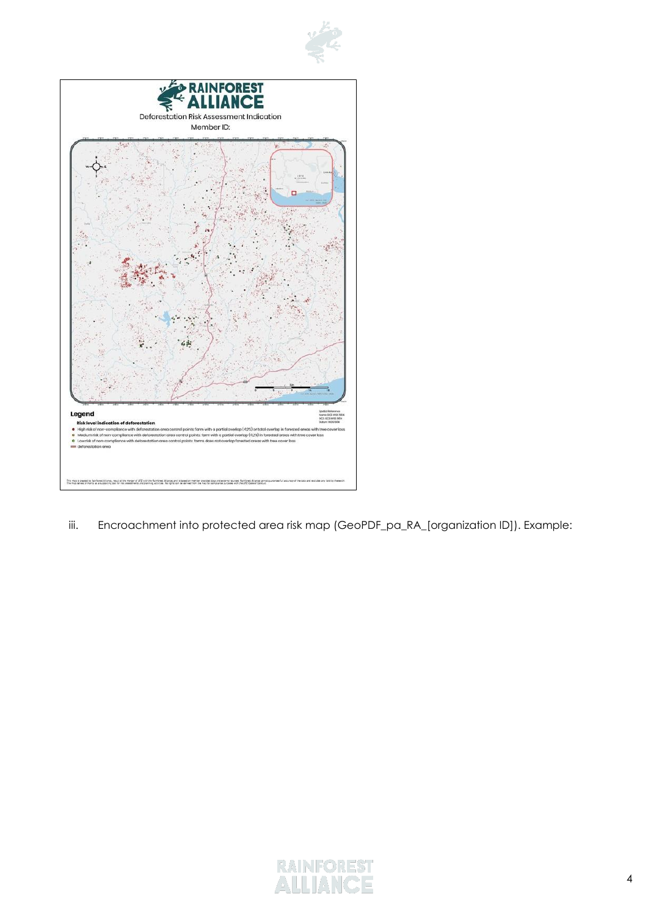



iii. Encroachment into protected area risk map (GeoPDF\_pa\_RA\_[organization ID]). Example:

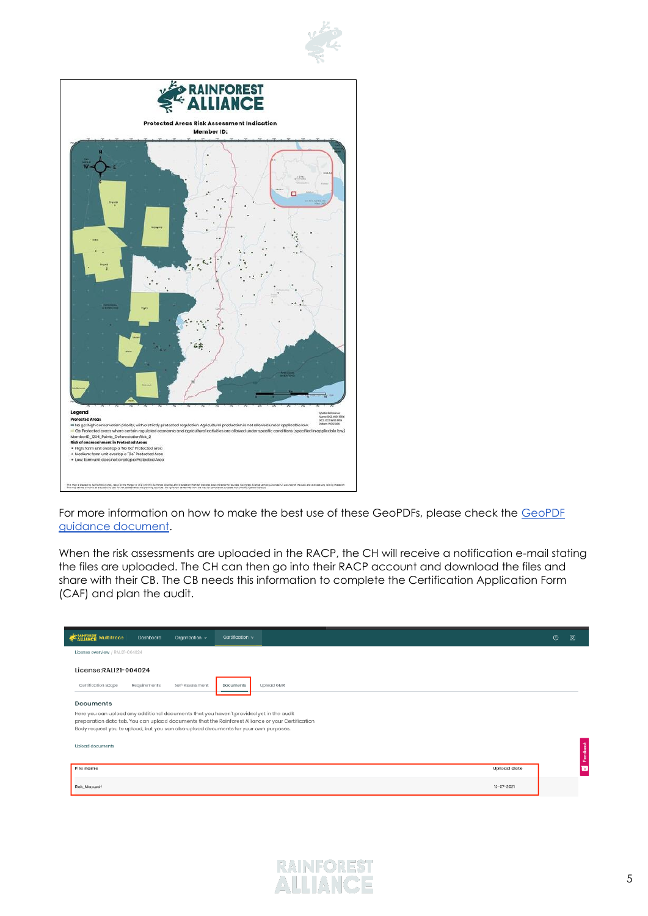



For more information on how to make the best use of these GeoPDFs, please check the [GeoPDF](https://www.rainforest-alliance.org/resource-item/geopdf-guidance/)  [guidance document.](https://www.rainforest-alliance.org/resource-item/geopdf-guidance/)

When the risk assessments are uploaded in the RACP, the CH will receive a notification e-mail stating the files are uploaded. The CH can then go into their RACP account and download the files and share with their CB. The CB needs this information to complete the Certification Application Form (CAF) and plan the audit.

| Certification v<br><b>MEN</b> Multitrace<br>Dashboard<br>Organization v                                                                                                                                                                                                              |                    | Ø | ⊛  |  |  |
|--------------------------------------------------------------------------------------------------------------------------------------------------------------------------------------------------------------------------------------------------------------------------------------|--------------------|---|----|--|--|
| License overview / RALI21-004024                                                                                                                                                                                                                                                     |                    |   |    |  |  |
| License:RALI21-004024                                                                                                                                                                                                                                                                |                    |   |    |  |  |
| Certification scope<br>Requirements<br>Self-Assessment<br>Upload GMR<br>Documents                                                                                                                                                                                                    |                    |   |    |  |  |
| Documents                                                                                                                                                                                                                                                                            |                    |   |    |  |  |
| Here you can upload any additional documents that you haven't provided yet in the audit<br>preparation data tab. You can upload documents that the Rainforest Alliance or your Certification<br>Body request you to upload, but you can also upload documents for your own purposes. |                    |   |    |  |  |
| Upload documents                                                                                                                                                                                                                                                                     |                    |   | å  |  |  |
| File name                                                                                                                                                                                                                                                                            | <b>Upload date</b> |   | œ. |  |  |
| Risk_Map.pdf                                                                                                                                                                                                                                                                         | 12-07-2021         |   |    |  |  |